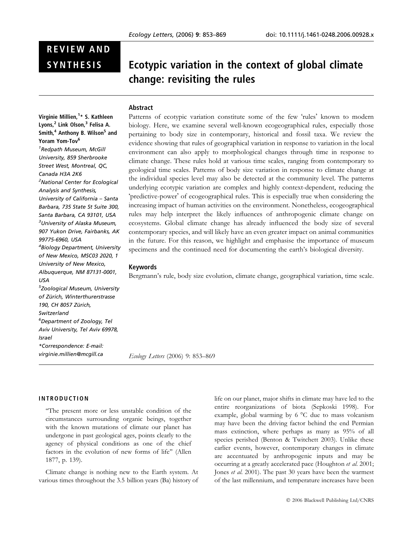# REVIEW AND

# SYNTHESIS Ecotypic variation in the context of global climate change: revisiting the rules

# Abstract

Virginie Millien,<sup>1</sup>\* S. Kathleen Lyons,<sup>2</sup> Link Olson,<sup>3</sup> Felisa A. Smith,<sup>4</sup> Anthony B. Wilson<sup>5</sup> and Yoram Yom-Tov<sup>6</sup> <sup>1</sup> Redpath Museum, McGill University, 859 Sherbrooke Street West, Montreal, QC, Canada H3A 2K6 <sup>2</sup>National Center for Ecological Analysis and Synthesis, University of California – Santa Barbara, 735 State St Suite 300, Santa Barbara, CA 93101, USA <sup>3</sup>University of Alaska Museum, 907 Yukon Drive, Fairbanks, AK 99775-6960, USA 4 Biology Department, University of New Mexico, MSC03 2020, 1 University of New Mexico, Albuquerque, NM 87131-0001, USA <sup>5</sup>Zoological Museum, University of Zürich, Winterthurerstrasse 190, CH 8057 Zürich, Switzerland 6 Department of Zoology, Tel Aviv University, Tel Aviv 69978, Israel \*Correspondence: E-mail: virginie.millien@mcgill.ca

Patterns of ecotypic variation constitute some of the few 'rules' known to modern biology. Here, we examine several well-known ecogeographical rules, especially those pertaining to body size in contemporary, historical and fossil taxa. We review the evidence showing that rules of geographical variation in response to variation in the local environment can also apply to morphological changes through time in response to climate change. These rules hold at various time scales, ranging from contemporary to geological time scales. Patterns of body size variation in response to climate change at the individual species level may also be detected at the community level. The patterns underlying ecotypic variation are complex and highly context-dependent, reducing the 'predictive-power' of ecogeographical rules. This is especially true when considering the increasing impact of human activities on the environment. Nonetheless, ecogeographical rules may help interpret the likely influences of anthropogenic climate change on ecosystems. Global climate change has already influenced the body size of several contemporary species, and will likely have an even greater impact on animal communities in the future. For this reason, we highlight and emphasise the importance of museum specimens and the continued need for documenting the earth's biological diversity.

# Keywords

Bergmann's rule, body size evolution, climate change, geographical variation, time scale.

Ecology Letters (2006) 9: 853–869

# INTRODUCTION

''The present more or less unstable condition of the circumstances surrounding organic beings, together with the known mutations of climate our planet has undergone in past geological ages, points clearly to the agency of physical conditions as one of the chief factors in the evolution of new forms of life'' (Allen 1877, p. 139).

Climate change is nothing new to the Earth system. At various times throughout the 3.5 billion years (Ba) history of life on our planet, major shifts in climate may have led to the entire reorganizations of biota (Sepkoski 1998). For example, global warming by 6 °C due to mass volcanism may have been the driving factor behind the end Permian mass extinction, where perhaps as many as 95% of all species perished (Benton & Twitchett 2003). Unlike these earlier events, however, contemporary changes in climate are accentuated by anthropogenic inputs and may be occurring at a greatly accelerated pace (Houghton et al. 2001; Jones *et al.* 2001). The past 30 years have been the warmest of the last millennium, and temperature increases have been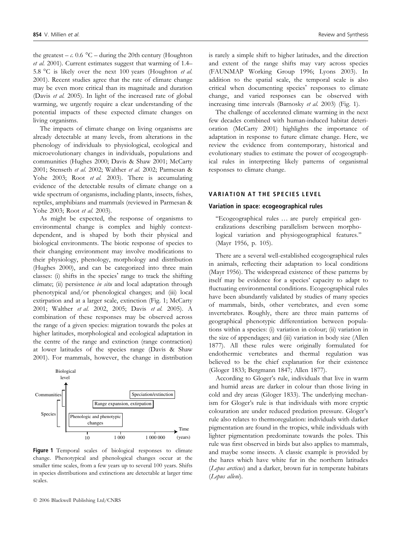the greatest – c. 0.6  $^{\circ}$ C – during the 20th century (Houghton et al. 2001). Current estimates suggest that warming of 1.4– 5.8 °C is likely over the next 100 years (Houghton et al. 2001). Recent studies agree that the rate of climate change may be even more critical than its magnitude and duration (Davis et al. 2005). In light of the increased rate of global warming, we urgently require a clear understanding of the potential impacts of these expected climate changes on living organisms.

The impacts of climate change on living organisms are already detectable at many levels, from alterations in the phenology of individuals to physiological, ecological and microevolutionary changes in individuals, populations and communities (Hughes 2000; Davis & Shaw 2001; McCarty 2001; Stenseth et al. 2002; Walther et al. 2002; Parmesan & Yohe 2003; Root et al. 2003). There is accumulating evidence of the detectable results of climate change on a wide spectrum of organisms, including plants, insects, fishes, reptiles, amphibians and mammals (reviewed in Parmesan & Yohe 2003; Root et al. 2003).

As might be expected, the response of organisms to environmental change is complex and highly contextdependent, and is shaped by both their physical and biological environments. The biotic response of species to their changing environment may involve modifications to their physiology, phenology, morphology and distribution (Hughes 2000), and can be categorized into three main classes: (i) shifts in the species' range to track the shifting climate; (ii) persistence in situ and local adaptation through phenotypical and/or phenological changes; and (iii) local extirpation and at a larger scale, extinction (Fig. 1; McCarty 2001; Walther et al. 2002, 2005; Davis et al. 2005). A combination of these responses may be observed across the range of a given species: migration towards the poles at higher latitudes, morphological and ecological adaptation in the centre of the range and extinction (range contraction) at lower latitudes of the species range (Davis & Shaw 2001). For mammals, however, the change in distribution



Figure 1 Temporal scales of biological responses to climate change. Phenotypical and phenological changes occur at the smaller time scales, from a few years up to several 100 years. Shifts in species distributions and extinctions are detectable at larger time scales.

is rarely a simple shift to higher latitudes, and the direction and extent of the range shifts may vary across species (FAUNMAP Working Group 1996; Lyons 2003). In addition to the spatial scale, the temporal scale is also critical when documenting species' responses to climate change, and varied responses can be observed with increasing time intervals (Barnosky et al. 2003) (Fig. 1).

The challenge of accelerated climate warming in the next few decades combined with human-induced habitat deterioration (McCarty 2001) highlights the importance of adaptation in response to future climate change. Here, we review the evidence from contemporary, historical and evolutionary studies to estimate the power of ecogeographical rules in interpreting likely patterns of organismal responses to climate change.

#### VARIATION AT THE SPECIES LEVEL

#### Variation in space: ecogeographical rules

''Ecogeographical rules … are purely empirical generalizations describing parallelism between morphological variation and physiogeographical features.'' (Mayr 1956, p. 105).

There are a several well-established ecogeographical rules in animals, reflecting their adaptation to local conditions (Mayr 1956). The widespread existence of these patterns by itself may be evidence for a species' capacity to adapt to fluctuating environmental conditions. Ecogeographical rules have been abundantly validated by studies of many species of mammals, birds, other vertebrates, and even some invertebrates. Roughly, there are three main patterns of geographical phenotypic differentiation between populations within a species: (i) variation in colour; (ii) variation in the size of appendages; and (iii) variation in body size (Allen 1877). All these rules were originally formulated for endothermic vertebrates and thermal regulation was believed to be the chief explanation for their existence (Gloger 1833; Bergmann 1847; Allen 1877).

According to Gloger's rule, individuals that live in warm and humid areas are darker in colour than those living in cold and dry areas (Gloger 1833). The underlying mechanism for Gloger's rule is that individuals with more cryptic colouration are under reduced predation pressure. Gloger's rule also relates to thermoregulation: individuals with darker pigmentation are found in the tropics, while individuals with lighter pigmentation predominate towards the poles. This rule was first observed in birds but also applies to mammals, and maybe some insects. A classic example is provided by the hares which have white fur in the northern latitudes (Lepus arcticus) and a darker, brown fur in temperate habitats (Lepus alleni).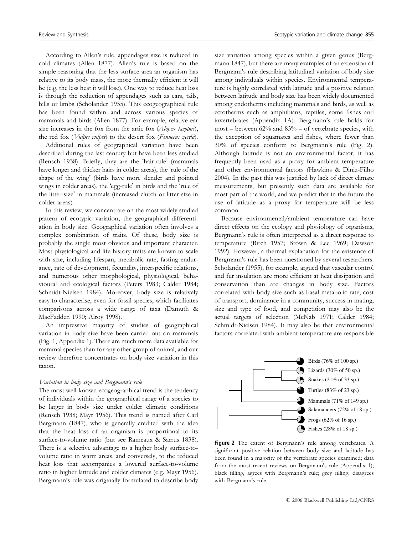According to Allen's rule, appendages size is reduced in cold climates (Allen 1877). Allen's rule is based on the simple reasoning that the less surface area an organism has relative to its body mass, the more thermally efficient it will be (e.g. the less heat it will lose). One way to reduce heat loss is through the reduction of appendages such as ears, tails, bills or limbs (Scholander 1955). This ecogeographical rule has been found within and across various species of mammals and birds (Allen 1877). For example, relative ear size increases in the fox from the artic fox (Alopex lagopus), the red fox (*Vulpes vulpes*) to the desert fox (*Fennecus zerda*).

Additional rules of geographical variation have been described during the last century but have been less studied (Rensch 1938). Briefly, they are the 'hair-rule' (mammals have longer and thicker hairs in colder areas), the 'rule of the shape of the wing' (birds have more slender and pointed wings in colder areas), the 'egg-rule' in birds and the 'rule of the litter-size' in mammals (increased clutch or litter size in colder areas).

In this review, we concentrate on the most widely studied pattern of ecotypic variation, the geographical differentiation in body size. Geographical variation often involves a complex combination of traits. Of these, body size is probably the single most obvious and important character. Most physiological and life history traits are known to scale with size, including lifespan, metabolic rate, fasting endurance, rate of development, fecundity, interspecific relations, and numerous other morphological, physiological, behavioural and ecological factors (Peters 1983; Calder 1984; Schmidt-Nielsen 1984). Moreover, body size is relatively easy to characterise, even for fossil species, which facilitates comparisons across a wide range of taxa (Damuth & MacFadden 1990; Alroy 1998).

An impressive majority of studies of geographical variation in body size have been carried out on mammals (Fig. 1, Appendix 1). There are much more data available for mammal species than for any other group of animal, and our review therefore concentrates on body size variation in this taxon.

#### Variation in body size and Bergmann's rule

The most well-known ecogeographical trend is the tendency of individuals within the geographical range of a species to be larger in body size under colder climatic conditions (Rensch 1938; Mayr 1956). This trend is named after Carl Bergmann (1847), who is generally credited with the idea that the heat loss of an organism is proportional to its surface-to-volume ratio (but see Rameaux & Sarrus 1838). There is a selective advantage to a higher body surface-tovolume ratio in warm areas, and conversely, to the reduced heat loss that accompanies a lowered surface-to-volume ratio in higher latitude and colder climates (e.g. Mayr 1956). Bergmann's rule was originally formulated to describe body size variation among species within a given genus (Bergmann 1847), but there are many examples of an extension of Bergmann's rule describing latitudinal variation of body size among individuals within species. Environmental temperature is highly correlated with latitude and a positive relation between latitude and body size has been widely documented among endotherms including mammals and birds, as well as ectotherms such as amphibians, reptiles, some fishes and invertebrates (Appendix 1A). Bergmann's rule holds for most – between 62% and 83% – of vertebrate species, with the exception of squamates and fishes, where fewer than 30% of species conform to Bergmann's rule (Fig. 2). Although latitude is not an environmental factor, it has frequently been used as a proxy for ambient temperature and other environmental factors (Hawkins & Diniz-Filho 2004). In the past this was justified by lack of direct climate measurements, but presently such data are available for most part of the world, and we predict that in the future the use of latitude as a proxy for temperature will be less common.

Because environmental/ambient temperature can have direct effects on the ecology and physiology of organisms, Bergmann's rule is often interpreted as a direct response to temperature (Birch 1957; Brown & Lee 1969; Dawson 1992). However, a thermal explanation for the existence of Bergmann's rule has been questioned by several researchers. Scholander (1955), for example, argued that vascular control and fur insulation are more efficient at heat dissipation and conservation than are changes in body size. Factors correlated with body size such as basal metabolic rate, cost of transport, dominance in a community, success in mating, size and type of food, and competition may also be the actual targets of selection (McNab 1971; Calder 1984; Schmidt-Nielsen 1984). It may also be that environmental factors correlated with ambient temperature are responsible



Figure 2 The extent of Bergmann's rule among vertebrates. A significant positive relation between body size and latitude has been found in a majority of the vertebrate species examined; data from the most recent reviews on Bergmann's rule (Appendix 1); black filling, agrees with Bergmann's rule; grey filling, disagrees with Bergmann's rule.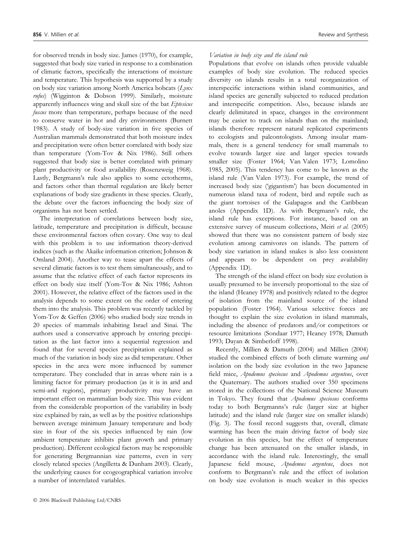for observed trends in body size. James (1970), for example, suggested that body size varied in response to a combination of climatic factors, specifically the interactions of moisture and temperature. This hypothesis was supported by a study on body size variation among North America bobcats (Lynx rufus) (Wigginton & Dobson 1999). Similarly, moisture apparently influences wing and skull size of the bat Eptesicus fuscus more than temperature, perhaps because of the need to conserve water in hot and dry environments (Burnett 1983). A study of body-size variation in five species of Australian mammals demonstrated that both moisture index and precipitation were often better correlated with body size than temperature (Yom-Tov & Nix 1986). Still others suggested that body size is better correlated with primary plant productivity or food availability (Rosenzweig 1968). Lastly, Bergmann's rule also applies to some ectotherms, and factors other than thermal regulation are likely better explanations of body size gradients in these species. Clearly, the debate over the factors influencing the body size of organisms has not been settled.

The interpretation of correlations between body size, latitude, temperature and precipitation is difficult, because these environmental factors often covary. One way to deal with this problem is to use information theory-derived indices (such as the Akaike information criterion; Johnson & Omland 2004). Another way to tease apart the effects of several climatic factors is to test them simultaneously, and to assume that the relative effect of each factor represents its effect on body size itself (Yom-Tov & Nix 1986; Ashton 2001). However, the relative effect of the factors used in the analysis depends to some extent on the order of entering them into the analysis. This problem was recently tackled by Yom-Tov & Geffen (2006) who studied body size trends in 20 species of mammals inhabiting Israel and Sinai. The authors used a conservative approach by entering precipitation as the last factor into a sequential regression and found that for several species precipitation explained as much of the variation in body size as did temperature. Other species in the area were more influenced by summer temperature. They concluded that in areas where rain is a limiting factor for primary production (as it is in arid and semi-arid regions), primary productivity may have an important effect on mammalian body size. This was evident from the considerable proportion of the variability in body size explained by rain, as well as by the positive relationships between average minimum January temperature and body size in four of the six species influenced by rain (low ambient temperature inhibits plant growth and primary production). Different ecological factors may be responsible for generating Bergmannian size patterns, even in very closely related species (Angilletta & Dunham 2003). Clearly, the underlying causes for ecogeographical variation involve a number of interrelated variables.

# Variation in body size and the island rule

Populations that evolve on islands often provide valuable examples of body size evolution. The reduced species diversity on islands results in a total reorganization of interspecific interactions within island communities, and island species are generally subjected to reduced predation and interspecific competition. Also, because islands are clearly delimitated in space, changes in the environment may be easier to track on islands than on the mainland; islands therefore represent natural replicated experiments to ecologists and paleontologists. Among insular mammals, there is a general tendency for small mammals to evolve towards larger size and larger species towards smaller size (Foster 1964; Van Valen 1973; Lomolino 1985, 2005). This tendency has come to be known as the island rule (Van Valen 1973). For example, the trend of increased body size ('gigantism') has been documented in numerous island taxa of rodent, bird and reptile such as the giant tortoises of the Galapagos and the Caribbean anoles (Appendix 1D). As with Bergmann's rule, the island rule has exceptions. For instance, based on an extensive survey of museum collections, Meiri et al. (2005) showed that there was no consistent pattern of body size evolution among carnivores on islands. The pattern of body size variation in island snakes is also less consistent and appears to be dependent on prey availability (Appendix 1D).

The strength of the island effect on body size evolution is usually presumed to be inversely proportional to the size of the island (Heaney 1978) and positively related to the degree of isolation from the mainland source of the island population (Foster 1964). Various selective forces are thought to explain the size evolution in island mammals, including the absence of predators and/or competitors or resource limitations (Sondaar 1977; Heaney 1978; Damuth 1993; Dayan & Simberloff 1998).

Recently, Millien & Damuth (2004) and Millien (2004) studied the combined effects of both climate warming and isolation on the body size evolution in the two Japanese field mice, Apodemus speciosus and Apodemus argenteus, over the Quaternary. The authors studied over 350 specimens stored in the collections of the National Science Museum in Tokyo. They found that Apodemus speciosus conforms today to both Bergmanns's rule (larger size at higher latitude) and the island rule (larger size on smaller islands) (Fig. 3). The fossil record suggests that, overall, climate warming has been the main driving factor of body size evolution in this species, but the effect of temperature change has been attenuated on the smaller islands, in accordance with the island rule. Interestingly, the small Japanese field mouse, Apodemus argenteus, does not conform to Bergmann's rule and the effect of isolation on body size evolution is much weaker in this species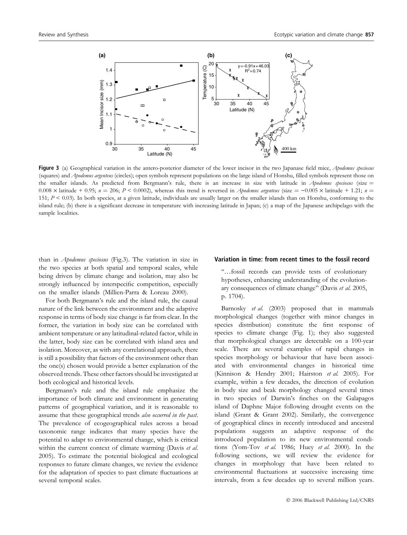

Figure 3 (a) Geographical variation in the antero-posterior diameter of the lower incisor in the two Japanase field mice, Apodemus speciosus (squares) and Apodemus argenteus (circles); open symbols represent populations on the large island of Honshu, filled symbols represent those on the smaller islands. As predicted from Bergmann's rule, there is an increase in size with latitude in Apodemus speciosus (size  $=$  $0.008 \times$  latitude + 0.95;  $n = 206$ ;  $P < 0.0002$ ), whereas this trend is reversed in Apodemus argenteus (size = -0.005  $\times$  latitude + 1.21; n = 151;  $P \le 0.03$ ). In both species, at a given latitude, individuals are usually larger on the smaller islands than on Honshu, conforming to the island rule; (b) there is a significant decrease in temperature with increasing latitude in Japan; (c) a map of the Japanese archipelago with the sample localities.

than in Apodemus speciosus (Fig.3). The variation in size in the two species at both spatial and temporal scales, while being driven by climate change and isolation, may also be strongly influenced by interspecific competition, especially on the smaller islands (Millien-Parra & Loreau 2000).

For both Bergmann's rule and the island rule, the causal nature of the link between the environment and the adaptive response in terms of body size change is far from clear. In the former, the variation in body size can be correlated with ambient temperature or any latitudinal-related factor, while in the latter, body size can be correlated with island area and isolation. Moreover, as with any correlational approach, there is still a possibility that factors of the environment other than the one(s) chosen would provide a better explanation of the observed trends. These other factors should be investigated at both ecological and historical levels.

Bergmann's rule and the island rule emphasize the importance of both climate and environment in generating patterns of geographical variation, and it is reasonable to assume that these geographical trends also occurred in the past. The prevalence of ecogeographical rules across a broad taxonomic range indicates that many species have the potential to adapt to environmental change, which is critical within the current context of climate warming (Davis et al. 2005). To estimate the potential biological and ecological responses to future climate changes, we review the evidence for the adaptation of species to past climate fluctuations at several temporal scales.

#### Variation in time: from recent times to the fossil record

''…fossil records can provide tests of evolutionary hypotheses, enhancing understanding of the evolutionary consequences of climate change'' (Davis et al. 2005, p. 1704).

Barnosky et al. (2003) proposed that in mammals morphological changes (together with minor changes in species distribution) constitute the first response of species to climate change (Fig. 1); they also suggested that morphological changes are detectable on a 100-year scale. There are several examples of rapid changes in species morphology or behaviour that have been associated with environmental changes in historical time (Kinnison & Hendry 2001; Hairston et al. 2005). For example, within a few decades, the direction of evolution in body size and beak morphology changed several times in two species of Darwin's finches on the Galapagos island of Daphne Major following drought events on the island (Grant & Grant 2002). Similarly, the convergence of geographical clines in recently introduced and ancestral populations suggests an adaptive response of the introduced population to its new environmental conditions (Yom-Tov et al. 1986; Huey et al. 2000). In the following sections, we will review the evidence for changes in morphology that have been related to environmental fluctuations at successive increasing time intervals, from a few decades up to several million years.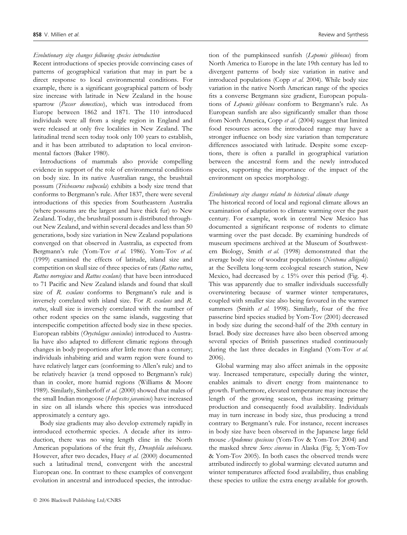Recent introductions of species provide convincing cases of patterns of geographical variation that may in part be a direct response to local environmental conditions. For example, there is a significant geographical pattern of body size increase with latitude in New Zealand in the house sparrow (Passer domesticus), which was introduced from Europe between 1862 and 1871. The 110 introduced individuals were all from a single region in England and were released at only five localities in New Zealand. The latitudinal trend seen today took only 100 years to establish, and it has been attributed to adaptation to local environmental factors (Baker 1980).

Introductions of mammals also provide compelling evidence in support of the role of environmental conditions on body size. In its native Australian range, the brushtail possum (Trichosurus vulpecula) exhibits a body size trend that conforms to Bergmann's rule. After 1837, there were several introductions of this species from Southeastern Australia (where possums are the largest and have thick fur) to New Zealand. Today, the brushtail possum is distributed throughout New Zealand, and within several decades and less than 50 generations, body size variation in New Zealand populations converged on that observed in Australia, as expected from Bergmann's rule (Yom-Tov et al. 1986). Yom-Tov et al. (1999) examined the effects of latitude, island size and competition on skull size of three species of rats (Rattus rattus, Rattus norvegicus and Rattus exulans) that have been introduced to 71 Pacific and New Zealand islands and found that skull size of R. exulans conforms to Bergmann's rule and is inversely correlated with island size. For R. exulans and R. rattus, skull size is inversely correlated with the number of other rodent species on the same islands, suggesting that interspecific competition affected body size in these species. European rabbits (Oryctolagus cuniculus) introduced to Australia have also adapted to different climatic regions through changes in body proportions after little more than a century; individuals inhabiting arid and warm region were found to have relatively larger ears (conforming to Allen's rule) and to be relatively heavier (a trend opposed to Bergmann's rule) than in cooler, more humid regions (Williams & Moore 1989). Similarly, Simberloff et al. (2000) showed that males of the small Indian mongoose (Herpestes javanicus) have increased in size on all islands where this species was introduced approximately a century ago.

Body size gradients may also develop extremely rapidly in introduced ectothermic species. A decade after its introduction, there was no wing length cline in the North American populations of the fruit fly, *Drosophila subobscura*. However, after two decades, Huey et al. (2000) documented such a latitudinal trend, convergent with the ancestral European one. In contrast to these examples of convergent evolution in ancestral and introduced species, the introduction of the pumpkinseed sunfish (Lepomis gibbosus) from North America to Europe in the late 19th century has led to divergent patterns of body size variation in native and introduced populations (Copp et al. 2004). While body size variation in the native North American range of the species fits a converse Bergmann size gradient, European populations of Lepomis gibbosus conform to Bergmann's rule. As European sunfish are also significantly smaller than those from North America, Copp et al. (2004) suggest that limited food resources across the introduced range may have a stronger influence on body size variation than temperature differences associated with latitude. Despite some exceptions, there is often a parallel in geographical variation between the ancestral form and the newly introduced species, supporting the importance of the impact of the environment on species morphology.

#### Evolutionary size changes related to historical climate change

The historical record of local and regional climate allows an examination of adaptation to climate warming over the past century. For example, work in central New Mexico has documented a significant response of rodents to climate warming over the past decade. By examining hundreds of museum specimens archived at the Museum of Southwestern Biology, Smith et al. (1998) demonstrated that the average body size of woodrat populations (Neotoma albigula) at the Sevilleta long-term ecological research station, New Mexico, had decreased by  $c$ . 15% over this period (Fig. 4). This was apparently due to smaller individuals successfully overwintering because of warmer winter temperatures, coupled with smaller size also being favoured in the warmer summers (Smith et al. 1998). Similarly, four of the five passerine bird species studied by Yom-Tov (2001) decreased in body size during the second-half of the 20th century in Israel. Body size decreases have also been observed among several species of British passerines studied continuously during the last three decades in England (Yom-Tov et al. 2006).

Global warming may also affect animals in the opposite way. Increased temperature, especially during the winter, enables animals to divert energy from maintenance to growth. Furthermore, elevated temperature may increase the length of the growing season, thus increasing primary production and consequently food availability. Individuals may in turn increase in body size, thus producing a trend contrary to Bergmann's rule. For instance, recent increases in body size have been observed in the Japanese large field mouse Apodemus speciosus (Yom-Tov & Yom-Tov 2004) and the masked shrew Sorex cinereus in Alaska (Fig. 5; Yom-Tov & Yom-Tov 2005). In both cases the observed trends were attributed indirectly to global warming: elevated autumn and winter temperatures affected food availability, thus enabling these species to utilize the extra energy available for growth.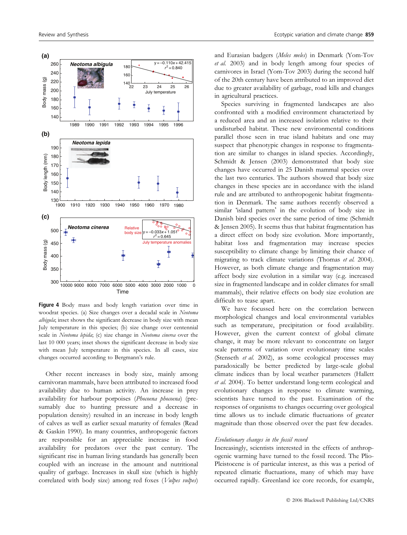

Figure 4 Body mass and body length variation over time in woodrat species. (a) Size changes over a decadal scale in Neotoma albigula; inset shows the significant decrease in body size with mean July temperature in this species; (b) size change over centennial scale in Neotoma lepida; (c) size change in Neotoma cinerea over the last 10 000 years; inset shows the significant decrease in body size with mean July temperature in this species. In all cases, size changes occurred according to Bergmann's rule.

Other recent increases in body size, mainly among carnivoran mammals, have been attributed to increased food availability due to human activity. An increase in prey availability for harbour porpoises (Phocoena phocoena) (presumably due to hunting pressure and a decrease in population density) resulted in an increase in body length of calves as well as earlier sexual maturity of females (Read & Gaskin 1990). In many countries, anthropogenic factors are responsible for an appreciable increase in food availability for predators over the past century. The significant rise in human living standards has generally been coupled with an increase in the amount and nutritional quality of garbage. Increases in skull size (which is highly correlated with body size) among red foxes (Vulpes vulpes) and Eurasian badgers (Meles meles) in Denmark (Yom-Tov et al. 2003) and in body length among four species of carnivores in Israel (Yom-Tov 2003) during the second half of the 20th century have been attributed to an improved diet due to greater availability of garbage, road kills and changes in agricultural practices.

Species surviving in fragmented landscapes are also confronted with a modified environment characterized by a reduced area and an increased isolation relative to their undisturbed habitat. These new environmental conditions parallel those seen in true island habitats and one may suspect that phenotypic changes in response to fragmentation are similar to changes in island species. Accordingly, Schmidt & Jensen (2003) demonstrated that body size changes have occurred in 25 Danish mammal species over the last two centuries. The authors showed that body size changes in these species are in accordance with the island rule and are attributed to anthropogenic habitat fragmentation in Denmark. The same authors recently observed a similar 'island pattern' in the evolution of body size in Danish bird species over the same period of time (Schmidt & Jensen 2005). It seems thus that habitat fragmentation has a direct effect on body size evolution. More importantly, habitat loss and fragmentation may increase species susceptibility to climate change by limiting their chance of migrating to track climate variations (Thomas et al. 2004). However, as both climate change and fragmentation may affect body size evolution in a similar way (e.g. increased size in fragmented landscape and in colder climates for small mammals), their relative effects on body size evolution are difficult to tease apart.

We have focussed here on the correlation between morphological changes and local environmental variables such as temperature, precipitation or food availability. However, given the current context of global climate change, it may be more relevant to concentrate on larger scale patterns of variation over evolutionary time scales (Stenseth et al. 2002), as some ecological processes may paradoxically be better predicted by large-scale global climate indices than by local weather parameters (Hallett et al. 2004). To better understand long-term ecological and evolutionary changes in response to climate warming, scientists have turned to the past. Examination of the responses of organisms to changes occurring over geological time allows us to include climatic fluctuations of greater magnitude than those observed over the past few decades.

#### Evolutionary changes in the fossil record

Increasingly, scientists interested in the effects of anthropogenic warming have turned to the fossil record. The Plio-Pleistocene is of particular interest, as this was a period of repeated climatic fluctuations, many of which may have occurred rapidly. Greenland ice core records, for example,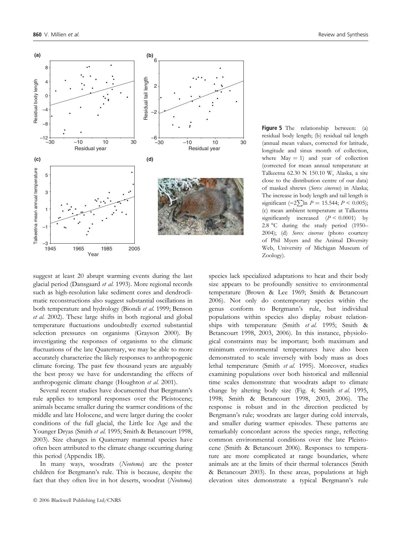

Figure 5 The relationship between: (a) residual body length; (b) residual tail length (annual mean values, corrected for latitude, longitude and sinus month of collection, where  $May = 1)$  and year of collection (corrected for mean annual temperature at Talkeetna 62.30 N 150.10 W, Alaska, a site close to the distribution centre of our data) of masked shrews (Sorex cinereus) in Alaska; The increase in body length and tail length is First increase in body length and tail religions<br>significant  $(-2\sum \ln P = 15.544; P < 0.005)$ ; (c) mean ambient temperature at Talkeetna significantly increased  $(P < 0.0001)$  by 2.8  $^{\circ}$ C during the study period (1950– 2004); (d) Sorex cinereus (photo courtesy of Phil Myers and the Animal Diversity Web, University of Michigan Museum of Zoology).

suggest at least 20 abrupt warming events during the last glacial period (Dansgaard et al. 1993). More regional records such as high-resolution lake sediment cores and dendroclimatic reconstructions also suggest substantial oscillations in both temperature and hydrology (Biondi et al. 1999; Benson et al. 2002). These large shifts in both regional and global temperature fluctuations undoubtedly exerted substantial selection pressures on organisms (Grayson 2000). By investigating the responses of organisms to the climatic fluctuations of the late Quaternary, we may be able to more accurately characterize the likely responses to anthropogenic climate forcing. The past few thousand years are arguably the best proxy we have for understanding the effects of anthropogenic climate change (Houghton et al. 2001).

Several recent studies have documented that Bergmann's rule applies to temporal responses over the Pleistocene; animals became smaller during the warmer conditions of the middle and late Holocene, and were larger during the cooler conditions of the full glacial, the Little Ice Age and the Younger Dryas (Smith et al. 1995; Smith & Betancourt 1998, 2003). Size changes in Quaternary mammal species have often been attributed to the climate change occurring during this period (Appendix 1B).

In many ways, woodrats (Neotoma) are the poster children for Bergmann's rule. This is because, despite the fact that they often live in hot deserts, woodrat (Neotoma)

species lack specialized adaptations to heat and their body size appears to be profoundly sensitive to environmental temperature (Brown & Lee 1969; Smith & Betancourt 2006). Not only do contemporary species within the genus conform to Bergmann's rule, but individual populations within species also display robust relationships with temperature (Smith et al. 1995; Smith & Betancourt 1998, 2003, 2006). In this instance, physiological constraints may be important; both maximum and minimum environmental temperatures have also been demonstrated to scale inversely with body mass as does lethal temperature (Smith et al. 1995). Moreover, studies examining populations over both historical and millennial time scales demonstrate that woodrats adapt to climate change by altering body size (Fig. 4; Smith et al. 1995, 1998; Smith & Betancourt 1998, 2003, 2006). The response is robust and in the direction predicted by Bergmann's rule; woodrats are larger during cold intervals, and smaller during warmer episodes. These patterns are remarkably concordant across the species range, reflecting common environmental conditions over the late Pleistocene (Smith & Betancourt 2006). Responses to temperature are more complicated at range boundaries, where animals are at the limits of their thermal tolerances (Smith & Betancourt 2003). In these areas, populations at high elevation sites demonstrate a typical Bergmann's rule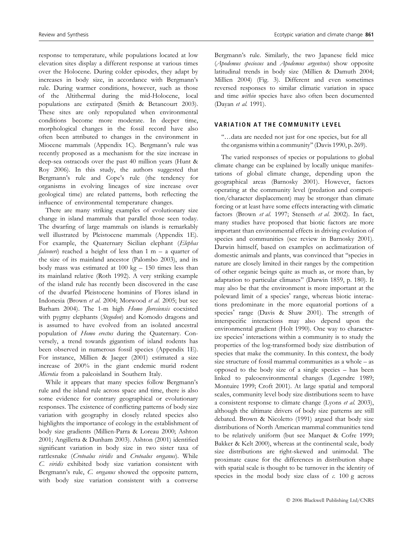response to temperature, while populations located at low elevation sites display a different response at various times over the Holocene. During colder episodes, they adapt by increases in body size, in accordance with Bergmann's rule. During warmer conditions, however, such as those of the Altithermal during the mid-Holocene, local populations are extirpated (Smith & Betancourt 2003). These sites are only repopulated when environmental conditions become more moderate. In deeper time, morphological changes in the fossil record have also often been attributed to changes in the environment in Miocene mammals (Appendix 1C). Bergmann's rule was recently proposed as a mechanism for the size increase in deep-sea ostracods over the past 40 million years (Hunt & Roy 2006). In this study, the authors suggested that Bergmann's rule and Cope's rule (the tendency for organisms in evolving lineages of size increase over geological time) are related patterns, both reflecting the influence of environmental temperature changes.

There are many striking examples of evolutionary size change in island mammals that parallel those seen today. The dwarfing of large mammals on islands is remarkably well illustrated by Pleistocene mammals (Appendix 1E). For example, the Quaternary Sicilian elephant (Elephas *falconeri*) reached a height of less than  $1 m - a$  quarter of the size of its mainland ancestor (Palombo 2003), and its body mass was estimated at 100 kg – 150 times less than its mainland relative (Roth 1992). A very striking example of the island rule has recently been discovered in the case of the dwarfed Pleistocene hominins of Flores island in Indonesia (Brown et al. 2004; Morwood et al. 2005; but see Barham 2004). The 1-m high Homo floresiensis coexisted with pygmy elephants (Stegodon) and Komodo dragons and is assumed to have evolved from an isolated ancestral population of Homo erectus during the Quaternary. Conversely, a trend towards gigantism of island rodents has been observed in numerous fossil species (Appendix 1E). For instance, Millien & Jaeger (2001) estimated a size increase of 200% in the giant endemic murid rodent Microtia from a paleoisland in Southern Italy.

While it appears that many species follow Bergmann's rule and the island rule across space and time, there is also some evidence for contrary geographical or evolutionary responses. The existence of conflicting patterns of body size variation with geography in closely related species also highlights the importance of ecology in the establishment of body size gradients (Millien-Parra & Loreau 2000; Ashton 2001; Angilletta & Dunham 2003). Ashton (2001) identified significant variation in body size in two sister taxa of rattlesnake (Crotoalus viridis and Crotoalus oreganus). While C. viridis exhibited body size variation consistent with Bergmann's rule, C. oreganus showed the opposite pattern, with body size variation consistent with a converse

Bergmann's rule. Similarly, the two Japanese field mice (Apodemus speciosus and Apodemus argenteus) show opposite latitudinal trends in body size (Millien & Damuth 2004; Millien 2004) (Fig. 3). Different and even sometimes reversed responses to similar climatic variation in space and time within species have also often been documented (Dayan et al. 1991).

# VARIATION AT THE COMMUNITY LEVEL

''…data are needed not just for one species, but for all the organisms within a community'' (Davis 1990, p. 269).

The varied responses of species or populations to global climate change can be explained by locally unique manifestations of global climate change, depending upon the geographical areas (Barnosky 2001). However, factors operating at the community level (predation and competition/character displacement) may be stronger than climate forcing or at least have some effects interacting with climatic factors (Brown et al. 1997; Stenseth et al. 2002). In fact, many studies have proposed that biotic factors are more important than environmental effects in driving evolution of species and communities (see review in Barnosky 2001). Darwin himself, based on examples on acclimatization of domestic animals and plants, was convinced that ''species in nature are closely limited in their ranges by the competition of other organic beings quite as much as, or more than, by adaptation to particular climates'' (Darwin 1859, p. 180). It may also be that the environment is more important at the poleward limit of a species' range, whereas biotic interactions predominate in the more equatorial portions of a species' range (Davis & Shaw 2001). The strength of interspecific interactions may also depend upon the environmental gradient (Holt 1990). One way to characterize species' interactions within a community is to study the properties of the log-transformed body size distribution of species that make the community. In this context, the body size structure of fossil mammal communities as a whole – as opposed to the body size of a single species – has been linked to paleoenvironmental changes (Legendre 1989; Montuire 1999; Croft 2001). At large spatial and temporal scales, community level body size distributions seem to have a consistent response to climate change (Lyons *et al.* 2003), although the ultimate drivers of body size patterns are still debated. Brown & Nicoletto (1991) argued that body size distributions of North American mammal communities tend to be relatively uniform (but see Marquet & Cofre 1999; Bakker & Kelt 2000), whereas at the continental scale, body size distributions are right-skewed and unimodal. The proximate cause for the differences in distribution shape with spatial scale is thought to be turnover in the identity of species in the modal body size class of  $\epsilon$ . 100 g across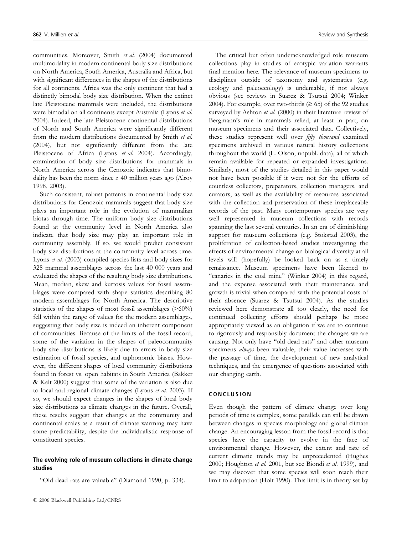communities. Moreover, Smith et al. (2004) documented multimodality in modern continental body size distributions on North America, South America, Australia and Africa, but with significant differences in the shapes of the distributions for all continents. Africa was the only continent that had a distinctly bimodal body size distribution. When the extinct late Pleistocene mammals were included, the distributions were bimodal on all continents except Australia (Lyons et al. 2004). Indeed, the late Pleistocene continental distributions of North and South America were significantly different from the modern distributions documented by Smith et al. (2004), but not significantly different from the late Pleistocene of Africa (Lyons et al. 2004). Accordingly, examination of body size distributions for mammals in North America across the Cenozoic indicates that bimodality has been the norm since  $\alpha$  40 million years ago (Alroy 1998, 2003).

Such consistent, robust patterns in continental body size distributions for Cenozoic mammals suggest that body size plays an important role in the evolution of mammalian biotas through time. The uniform body size distributions found at the community level in North America also indicate that body size may play an important role in community assembly. If so, we would predict consistent body size distributions at the community level across time. Lyons et al. (2003) compiled species lists and body sizes for 328 mammal assemblages across the last 40 000 years and evaluated the shapes of the resulting body size distributions. Mean, median, skew and kurtosis values for fossil assemblages were compared with shape statistics describing 80 modern assemblages for North America. The descriptive statistics of the shapes of most fossil assemblages  $(>60%)$ fell within the range of values for the modern assemblages, suggesting that body size is indeed an inherent component of communities. Because of the limits of the fossil record, some of the variation in the shapes of paleocommunity body size distributions is likely due to errors in body size estimation of fossil species, and taphonomic biases. However, the different shapes of local community distributions found in forest vs. open habitats in South America (Bakker & Kelt 2000) suggest that some of the variation is also due to local and regional climate changes (Lyons et al. 2003). If so, we should expect changes in the shapes of local body size distributions as climate changes in the future. Overall, these results suggest that changes at the community and continental scales as a result of climate warming may have some predictability, despite the individualistic response of constituent species.

# The evolving role of museum collections in climate change studies

''Old dead rats are valuable'' (Diamond 1990, p. 334).

The critical but often underacknowledged role museum collections play in studies of ecotypic variation warrants final mention here. The relevance of museum specimens to disciplines outside of taxonomy and systematics (e.g. ecology and paleoecology) is undeniable, if not always obvious (see reviews in Suarez & Tsutsui 2004; Winker 2004). For example, over two-thirds  $(≥ 65)$  of the 92 studies surveyed by Ashton et al. (2000) in their literature review of Bergmann's rule in mammals relied, at least in part, on museum specimens and their associated data. Collectively, these studies represent well over *fifty thousand* examined specimens archived in various natural history collections throughout the world (L. Olson, unpubl. data), all of which remain available for repeated or expanded investigations. Similarly, most of the studies detailed in this paper would not have been possible if it were not for the efforts of countless collectors, preparators, collection managers, and curators, as well as the availability of resources associated with the collection and preservation of these irreplaceable records of the past. Many contemporary species are very well represented in museum collections with records spanning the last several centuries. In an era of diminishing support for museum collections (e.g. Stokstad 2003), the proliferation of collection-based studies investigating the effects of environmental change on biological diversity at all levels will (hopefully) be looked back on as a timely renaissance. Museum specimens have been likened to "canaries in the coal mine" (Winker 2004) in this regard, and the expense associated with their maintenance and growth is trivial when compared with the potential costs of their absence (Suarez & Tsutsui 2004). As the studies reviewed here demonstrate all too clearly, the need for continued collecting efforts should perhaps be more appropriately viewed as an obligation if we are to continue to rigorously and responsibly document the changes we are causing. Not only have ''old dead rats'' and other museum specimens always been valuable, their value increases with the passage of time, the development of new analytical techniques, and the emergence of questions associated with our changing earth.

#### **CONCLUSION**

Even though the pattern of climate change over long periods of time is complex, some parallels can still be drawn between changes in species morphology and global climate change. An encouraging lesson from the fossil record is that species have the capacity to evolve in the face of environmental change. However, the extent and rate of current climatic trends may be unprecedented (Hughes 2000; Houghton et al. 2001, but see Biondi et al. 1999), and we may discover that some species will soon reach their limit to adaptation (Holt 1990). This limit is in theory set by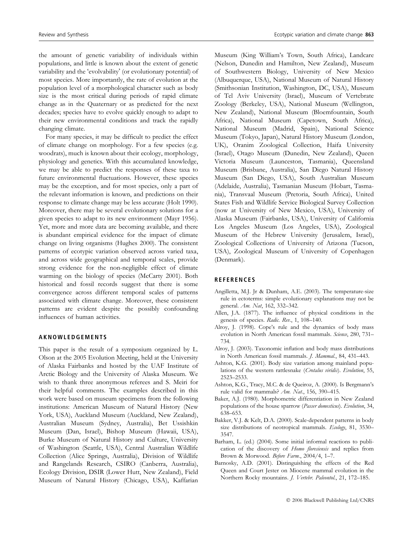the amount of genetic variability of individuals within populations, and little is known about the extent of genetic variability and the 'evolvability' (or evolutionary potential) of most species. More importantly, the rate of evolution at the population level of a morphological character such as body size is the most critical during periods of rapid climate change as in the Quaternary or as predicted for the next decades; species have to evolve quickly enough to adapt to their new environmental conditions and track the rapidly changing climate.

For many species, it may be difficult to predict the effect of climate change on morphology. For a few species (e.g. woodrats), much is known about their ecology, morphology, physiology and genetics. With this accumulated knowledge, we may be able to predict the responses of these taxa to future environmental fluctuations. However, these species may be the exception, and for most species, only a part of the relevant information is known, and predictions on their response to climate change may be less accurate (Holt 1990). Moreover, there may be several evolutionary solutions for a given species to adapt to its new environment (Mayr 1956). Yet, more and more data are becoming available, and there is abundant empirical evidence for the impact of climate change on living organisms (Hughes 2000). The consistent patterns of ecotypic variation observed across varied taxa, and across wide geographical and temporal scales, provide strong evidence for the non-negligible effect of climate warming on the biology of species (McCarty 2001). Both historical and fossil records suggest that there is some convergence across different temporal scales of patterns associated with climate change. Moreover, these consistent patterns are evident despite the possibly confounding influences of human activities.

# AKNOWLEDGEMENTS

This paper is the result of a symposium organized by L. Olson at the 2005 Evolution Meeting, held at the University of Alaska Fairbanks and hosted by the UAF Institute of Arctic Biology and the University of Alaska Museum. We wish to thank three anonymous referees and S. Meiri for their helpful comments. The examples described in this work were based on museum specimens from the following institutions: American Museum of Natural History (New York, USA), Auckland Museum (Auckland, New Zealand), Australian Museum (Sydney, Australia), Bet Ussishkin Museum (Dan, Israel), Bishop Museum (Hawaii, USA), Burke Museum of Natural History and Culture, University of Washington (Seattle, USA), Central Australian Wildlife Collection (Alice Springs, Australia), Division of Wildlife and Rangelands Research, CSIRO (Canberra, Australia), Ecology Division, DSIR (Lower Hutt, New Zealand), Field Museum of Natural History (Chicago, USA), Kaffarian

Museum (King William's Town, South Africa), Landcare (Nelson, Dunedin and Hamilton, New Zealand), Museum of Southwestern Biology, University of New Mexico (Albuquerque, USA), National Museum of Natural History (Smithsonian Institution, Washington, DC, USA), Museum of Tel Aviv University (Israel), Museum of Vertebrate Zoology (Berkeley, USA), National Museum (Wellington, New Zealand), National Museum (Bloemfountain, South Africa), National Museum (Capetown, South Africa), National Museum (Madrid, Spain), National Science Museum (Tokyo, Japan), Natural History Museum (London, UK), Oranim Zoological Collection, Haifa University (Israel), Otago Museum (Dunedin, New Zealand), Queen Victoria Museum (Launceston, Tasmania), Queensland Museum (Brisbane, Australia), San Diego Natural History Museum (San Diego, USA), South Australian Museum (Adelaide, Australia), Tasmanian Museum (Hobart, Tasmania), Transvaal Museum (Pretoria, South Africa), United States Fish and Wildlife Service Biological Survey Collection (now at University of New Mexico, USA), University of Alaska Museum (Fairbanks, USA), University of California Los Angeles Museum (Los Angeles, USA), Zoological Museum of the Hebrew University (Jerusalem, Israel), Zoological Collections of University of Arizona (Tucson, USA), Zoological Museum of University of Copenhagen (Denmark).

#### **REFERENCES**

- Angilletta, M.J. Jr & Dunham, A.E. (2003). The temperature-size rule in ectoterms: simple evolutionary explanations may not be general. Am. Nat, 162, 332-342.
- Allen, J.A. (1877). The influence of physical conditions in the genesis of species. Radic. Rev., 1, 108–140.
- Alroy, J. (1998). Cope's rule and the dynamics of body mass evolution in North American fossil mammals. Science, 280, 731-734.
- Alroy, J. (2003). Taxonomic inflation and body mass distributions in North American fossil mammals. J. Mammal., 84, 431–443.
- Ashton, K.G. (2001). Body size variation among mainland populations of the western rattlesnake (Crotalus viridis). Evolution, 55, 2523–2533.
- Ashton, K.G., Tracy, M.C. & de Queiroz, A. (2000). Is Bergmann's rule valid for mammals? Am. Nat., 156, 390–415.
- Baker, A.J. (1980). Morphometric differentiation in New Zealand populations of the house sparrow (Passer domesticus). Evolution, 34, 638–653.
- Bakker, V.J. & Kelt, D.A. (2000). Scale-dependent patterns in body size distributions of neotropical mammals. Ecology, 81, 3530-3547.
- Barham, L. (ed.) (2004). Some initial informal reactions to publication of the discovery of Homo floresiensis and replies from Brown & Morwood. Before Farm., 2004/4, 1–7.
- Barnosky, A.D. (2001). Distinguishing the effects of the Red Queen and Court Jester on Miocene mammal evolution in the Northern Rocky mountains. J. Vertebr. Paleontol., 21, 172-185.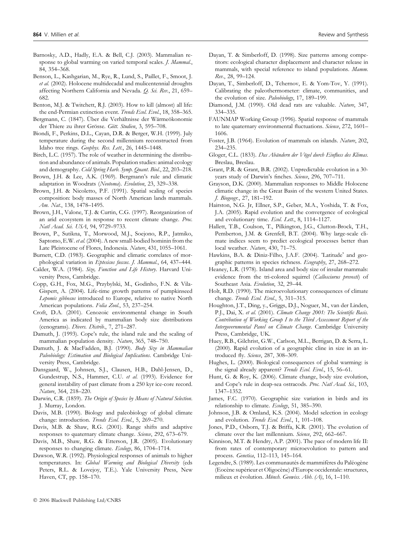- Barnosky, A.D., Hadly, E.A. & Bell, C.J. (2003). Mammalian response to global warming on varied temporal scales. *J. Mammal.*, 84, 354–368.
- Benson, L., Kashgarian, M., Rye, R., Lund, S., Paillet, F., Smoot, J. et al. (2002). Holocene multidecadal and mulicentennial droughts affecting Northern California and Nevada. Q. Sci. Rev., 21, 659-682.
- Benton, M.J. & Twitchett, R.J. (2003). How to kill (almost) all life: the end-Permian extinction event. Trends Ecol. Evol., 18, 358-365.
- Bergmann, C. (1847). Über die Verhältnisse der Wärmeökonomie der Thiere zu ihrer Grösse. Gött. Studien, 3, 595–708.
- Biondi, F., Perkins, D.L., Cayan, D.R. & Berger, W.H. (1999). July temperature during the second millennium reconstructed from Idaho tree rings. Geophys. Res. Lett., 26, 1445–1448.
- Birch, L.C. (1957). The role of weather in determining the distribution and abundance of animals. Population studies: animal ecology and demography. Cold Spring Harb. Symp. Quant. Biol., 22, 203–218.
- Brown, J.H. & Lee, A.K. (1969). Bergmann's rule and climatic adaptation in Woodrats (Neotoma). Evolution, 23, 329–338.
- Brown, J.H. & Nicoletto, P.F. (1991). Spatial scaling of species composition: body masses of North American lands mammals. Am. Nat., 138, 1478-1495.
- Brown, J.H., Valone, T.J. & Curtin, C.G. (1997). Reorganization of an arid ecosystem in response to recent climate change. Proc. Natl Acad. Sci. USA, 94, 9729–9733.
- Brown, P., Sutikna, T., Morwood, M.J., Soejono, R.P., Jatmiko, Saptomo, E.W. et al. (2004). A new small-bodied hominin from the Late Pleistocene of Flores, Indonesia. Nature, 431, 1055–1061.
- Burnett, C.D. (1983). Geographic and climatic correlates of morphological variation in Eptesicus fuscus. J. Mammal., 64, 437–444.
- Calder, W.A. (1984). Size, Function and Life History. Harvard University Press, Cambridge.
- Copp, G.H., Fox, M.G., Przybylski, M., Godinho, F.N. & Vila-Gispert, A. (2004). Life-time growth patterns of pumpkinseed Lepomis gibbosus introduced to Europe, relative to native North American populations. Folia Zool., 53, 237-254.
- Croft, D.A. (2001). Cenozoic environmental change in South America as indicated by mammalian body size distributions (cenograms). Divers. Distrib., 7, 271–287.
- Damuth, J. (1993). Cope's rule, the island rule and the scaling of mammalian population density. Nature, 365, 748–750.
- Damuth, J. & MacFadden, B.J. (1990). Body Size in Mammalian Paleobiology: Estimation and Biological Implications. Cambridge University Press, Cambridge.
- Dansgaard, W., Johnsen, S.J., Clausen, H.B., Dahl-Jensen, D., Gundestrup, N.S., Hammer, C.U. et al. (1993). Evidence for general instability of past climate from a 250 kyr ice-core record. Nature, 364, 218–220.
- Darwin, C.R. (1859). The Origin of Species by Means of Natural Selection. J. Murray, London.
- Davis, M.B. (1990). Biology and paleobiology of global climate change: introduction. Trends Ecol. Evol., 5, 269-270.
- Davis, M.B. & Shaw, R.G. (2001). Range shifts and adaptive responses to quaternary climate change. Science, 292, 673-679.
- Davis, M.B., Shaw, R.G. & Etterson, J.R. (2005). Evolutionary responses to changing climate. Ecology, 86, 1704-1714.
- Dawson, W.R. (1992). Physiological responses of animals to higher temperatures. In: Global Warming and Biological Diversity (eds Peters, R.L. & Lovejoy, T.E.). Yale University Press, New Haven, CT, pp. 158–170.
- Dayan, T. & Simberloff, D. (1998). Size patterns among competitors: ecological character displacement and character release in mammals, with special reference to island populations. Mamm. Rev., 28, 99–124.
- Dayan, T., Simberloff, D., Tchernov, E. & Yom-Tov, Y. (1991). Calibrating the paleothermometer: climate, communities, and the evolution of size. Paleobiology, 17, 189–199.
- Diamond, J.M. (1990). Old dead rats are valuable. Nature, 347, 334–335.
- FAUNMAP Working Group (1996). Spatial response of mammals to late quaternary environmental fluctuations. Science, 272, 1601-1606.
- Foster, J.B. (1964). Evolution of mammals on islands. Nature, 202, 234–235.
- Gloger, C.L. (1833). Das Abändern der Vögel durch Einfluss des Klimas. Breslau, Breslau.
- Grant, P.R. & Grant, B.R. (2002). Unpredictable evolution in a 30 years study of Darwin's finches. Science, 296, 707-711.
- Grayson, D.K. (2000). Mammalian responses to Middle Holocene climatic change in the Great Basin of the western United States. J. Biogeogr., 27, 181–192.
- Hairston, N.G. Jr, Ellner, S.P., Geber, M.A., Yoshida, T. & Fox, J.A. (2005). Rapid evolution and the convergence of ecological and evolutionary time. Ecol. Lett., 8, 1114–1127.
- Hallett, T.B., Coulson, T., Pilkington, J.G., Clutton-Brock, T.H., Pemberton, J.M. & Grenfell, B.T. (2004). Why large-scale climate indices seem to predict ecological processes better than local weather. Nature, 430, 71-75.
- Hawkins, B.A. & Diniz-Filho, J.A.F. (2004). 'Latitude' and geographic patterns in species richness. Ecography, 27, 268–272.
- Heaney, L.R. (1978). Island area and body size of insular mammals: evidence from the tri-colored squirrel (Callosciurus prevosti) of Southeast Asia. Evolution, 32, 29-44.
- Holt, R.D. (1990). The microevolutionary consequences of climate change. Trends Ecol. Evol., 5, 311-315.
- Houghton, J.T., Ding, y., Griggs, D.J., Noguer, M., van der Linden, P.J., Dai, X. et al. (2001). Climate Change 2001: The Scientific Basis. Contribution of Working Group I to the Third Assessment Report of the Intergovernmental Panel on Climate Change. Cambridge University Press, Cambridge, UK.
- Huey, R.B., Gilchrist, G.W., Carlson, M.L., Berrigan, D. & Serra, L. (2000). Rapid evolution of a geographic cline in size in an introduced fly. Science, 287, 308-309.
- Hughes, L. (2000). Biological consequences of global warming: is the signal already apparent? Trends Ecol. Evol., 15, 56-61.
- Hunt, G. & Roy, K. (2006). Climate change, body size evolution, and Cope's rule in deap-sea ostracods. Proc. Natl Acad. Sci., 103, 1347–1352.
- James, F.C. (1970). Geographic size variation in birds and its relationship to climate. Ecology, 51, 385-390.
- Johnson, J.B. & Omland, K.S. (2004). Model selection in ecology and evolution. Trends Ecol. Evol., 1, 101-108.
- Jones, P.D., Osborn, T.J. & Briffa, K.R. (2001). The evolution of climate over the last millennium. Science, 292, 662-667.
- Kinnison, M.T. & Hendry, A.P. (2001). The pace of modern life II: from rates of contemporary microevolution to pattern and process. Genetica, 112–113, 145–164.
- Legendre, S. (1989). Les communautés de mammifères du Paléogène (Eocène supérieur et Oligocène) d'Europe occidentale: structures, milieux et évolution. Münch. Geowiss. Abh. (A), 16, 1–110.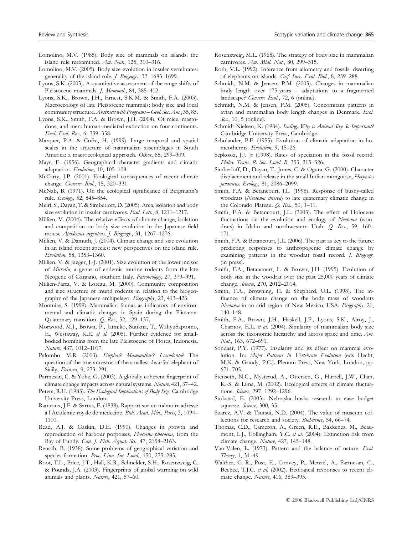- Lomolino, M.V. (1985). Body size of mammals on islands: the island rule reexamined. Am. Nat., 125, 310–316.
- Lomolino, M.V. (2005). Body size evolution in insular vertebrates: generality of the island rule. J. Biogeogr., 32, 1683–1699.
- Lyons, S.K. (2003). A quantitative assessment of the range shifts of Pleistocene mammals. J. Mammal., 84, 385–402.
- Lyons, S.K., Brown, J.H., Ernest, S.K.M. & Smith, F.A. (2003). Macroecology of late Pleistocene mammals: body size and local community structure. Abstracts with Programs - Geol. Soc. Am., 35, 85.
- Lyons, S.K., Smith, F.A. & Brown, J.H. (2004). Of mice, mastodons, and men: human-mediated extinction on four continents. Evol. Ecol. Res., 6, 339–358.
- Marquet, P.A. & Cofre, H. (1999). Large temporal and spatial scales in the structure of mammalian assemblages in South America: a macroecological approach. Oikos, 85, 299–309.
- Mayr, E. (1956). Geographical character gradients and climatic adaptation. Evolution, 10, 105–108.
- McCarty, J.P. (2001). Ecological consequences of recent climate change. Conserv. Biol., 15, 320–331.
- McNab, B. (1971). On the ecological significance of Bergmann's rule. Ecology, 52, 845–854.
- Meiri, S., Dayan, T. & Simberloff, D. (2005). Area, isolation and body size evolution in insular carnivores. Ecol. Lett., 8, 1211–1217.
- Millien, V. (2004). The relative effects of climate change, isolation and competition on body size evolution in the Japanese field mouse Apodemus argenteus. J. Biogeogr., 31, 1267-1276.
- Millien, V. & Damuth, J. (2004). Climate change and size evolution in an island rodent species: new perspectives on the island rule. Evolution, 58, 1353–1360.
- Millien, V. & Jaeger, J.-J. (2001). Size evolution of the lower incisor of Microtia, a genus of endemic murine rodents from the late Neogene of Gargano, southern Italy. Paleobiology, 27, 379–391.
- Millien-Parra, V. & Loreau, M. (2000). Community composition and size structure of murid rodents in relation to the biogeography of the Japanese archipelago. Ecography, 23, 413–423.
- Montuire, S. (1999). Mammalian faunas as indicators of environmental and climatic changes in Spain during the Pliocene-Quaternary transition. Q. Res., 52, 129–137.
- Morwood, M.J., Brown, P., Jatmiko, Sutikna, T., WahyuSaptomo, E., Westaway, K.E. et al. (2005). Further evidence for smallbodied hominins from the late Pleistocene of Flores, Indonesia. Nature, 437, 1012–1017.
- Palombo, M.R. (2003). Elephas? Mammuthus? Loxodonta? The question of the true ancestor of the smallest dwarfed elephant of Sicily. Deinsea, 9, 273–291.
- Parmesan, C. & Yohe, G. (2003). A globally coherent fingerprint of climate change impacts across natural systems. Nature, 421, 37–42.
- Peters, R.H. (1983). The Ecological Implications of Body Size. Cambridge University Press, London.
- Rameaux, J.F. & Sarrus, F. (1838). Rapport sur un mémoire adressé à l'Académie royale de médecine. Bull. Acad. Méd., Paris, 3, 1094– 1100.
- Read, A.J. & Gaskin, D.E. (1990). Changes in growth and reproduction of harbour porpoises, *Phocoena phocoena*, from the Bay of Fundy. Can. J. Fish. Aquat. Sci., 47, 2158–2163.
- Rensch, B. (1938). Some problems of geographical variation and species-formation. Proc. Linn. Soc. Lond., 150, 275-285.
- Root, T.L., Price, J.T., Hall, K.R., Schnelder, S.H., Rosenzweig, C. & Pounds, J.A. (2003). Fingerprints of global warming on wild animals and plants. Nature, 421, 57–60.
- Rosenzweig, M.L. (1968). The strategy of body size in mammalian carnivores. Am. Midl. Nat., 80, 299–315.
- Roth, V.L. (1992). Inference from allometry and fossils: dwarfing of elephants on islands. Oxf. Surv. Evol. Biol., 8, 259–288.
- Schmidt, N.M. & Jensen, P.M. (2003). Changes in mammalian body length over 175 years – adaptations to a fragmented landscape? Conserv. Ecol., 72, 6 (online).
- Schmidt, N.M. & Jensen, P.M. (2005). Concomitant patterns in avian and mammalian body length changes in Denmark. Ecol. Soc., 10, 5 (online).
- Schmidt-Nielsen, K. (1984). Scaling. Why is Animal Size So Important? Cambridge University Press, Cambridge.
- Scholander, P.F. (1955). Evolution of climatic adaptation in homeotherms. Evolution, 9, 15-26.
- Sepkoski, J.J. Jr (1998). Rates of speciation in the fossil record. Philos. Trans. R. Soc. Lond. B, 353, 315–326.
- Simberloff, D., Dayan, T., Jones, C. & Ogura, G. (2000). Character displacement and release in the small Indian mongoose, Herpestes javanicus. Ecology, 81, 2086–2099.
- Smith, F.A. & Betancourt, J.L. (1998). Response of bushy-tailed woodrats (Neotoma cinerea) to late quaternary climatic change in the Colorado Plateau. Q. Res., 50, 1–11.
- Smith, F.A. & Betancourt, J.L. (2003). The effect of Holocene fluctuations on the evolution and ecology of Neotoma (woodrats) in Idaho and northwestern Utah. Q. Res., 59, 160– 171.
- Smith, F.A. & Betancourt, J.L. (2006). The past as key to the future: predicting responses to anthropogenic climate change by examining patterns in the woodrat fossil record. J. Biogeogr. (in press).
- Smith, F.A., Betancourt, L. & Brown, J.H. (1995). Evolution of body size in the woodrat over the past 25,000 years of climate change. Science, 270, 2012–2014.
- Smith, F.A., Browning, H. & Shepherd, U.L. (1998). The influence of climate change on the body mass of woodrats Neotoma in an arid region of New Mexico, USA. Ecography, 21, 140–148.
- Smith, F.A., Brown, J.H., Haskell, J.P., Lyons, S.K., Alroy, J., Charnov, E.L. et al. (2004). Similarity of mammalian body size across the taxonomic hierarchy and across space and time. Am. Nat., 163, 672–691.
- Sondaar, P.Y. (1977). Insularity and its effect on mammal evolution. In: Major Patterns in Vertebrate Evolution (eds Hecht, M.K. & Goody, P.C.). Plenum Press, New York, London, pp. 671–705.
- Stenseth, N.C., Mysterud, A., Ottersen, G., Hurrell, J.W., Chan, K.-S. & Lima, M. (2002). Ecological effects of climate fluctuations. Science, 297, 1292–1296.
- Stokstad, E. (2003). Nebraska husks research to ease budget squeeze. Science, 300, 35.
- Suarez, A.V. & Tsutsui, N.D. (2004). The value of museum collections for research and society. BioScience, 54, 66–74.
- Thomas, C.D., Cameron, A., Green, R.E., Bakkenes, M., Beaumont, L.J., Collingham, Y.C. et al. (2004). Extinction risk from climate change. Nature, 427, 145–148.
- Van Valen, L. (1973). Pattern and the balance of nature. Evol. Theory, 1, 31–49.
- Walther, G.-R., Post, E., Convey, P., Menzel, A., Parmesan, C., Beebee, T.J.C. et al. (2002). Ecological responses to recent climate change. Nature, 416, 389-395.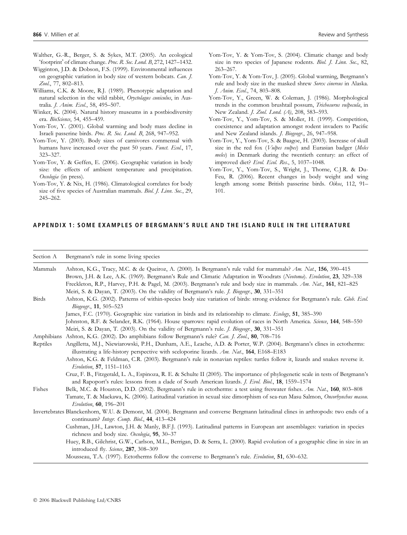- Walther, G.-R., Berger, S. & Sykes, M.T. (2005). An ecological 'footprint' of climate change. Proc. R. Soc. Lond. B, 272, 1427-1432.
- Wigginton, J.D. & Dobson, F.S. (1999). Environmental influences on geographic variation in body size of western bobcats. Can. J. Zool., 77, 802–813.
- Williams, C.K. & Moore, R.J. (1989). Phenotypic adaptation and natural selection in the wild rabbit, Oryctolagus cuniculus, in Australia. *J. Anim. Ecol.*, 58, 495-507.
- Winker, K. (2004). Natural history museums in a postbiodiversity era. BioScience, 54, 455–459.
- Yom-Tov, Y. (2001). Global warming and body mass decline in Israeli passerine birds. Proc. R. Soc. Lond. B, 268, 947–952.
- Yom-Tov, Y. (2003). Body sizes of carnivores commensal with humans have increased over the past 50 years. Funct. Ecol., 17, 323–327.
- Yom-Tov, Y. & Geffen, E. (2006). Geographic variation in body size: the effects of ambient temperature and precipitation. Oecologia (in press).
- Yom-Tov, Y. & Nix, H. (1986). Climatological correlates for body size of five species of Australian mammals. Biol. J. Linn. Soc., 29, 245–262.
- Yom-Tov, Y. & Yom-Tov, S. (2004). Climatic change and body size in two species of Japanese rodents. Biol. J. Linn. Soc., 82, 263–267.
- Yom-Tov, Y. & Yom-Tov, J. (2005). Global warming, Bergmann's rule and body size in the masked shrew Sorex cinereus in Alaska. J. Anim. Ecol., 74, 803–808.
- Yom-Tov, Y., Green, W. & Coleman, J. (1986). Morphological trends in the common brushtail possum, Trichosurus vulpecula, in New Zealand. J. Zool. Lond. (A), 208, 583–593.
- Yom-Tov, Y., Yom-Tov, S. & Moller, H. (1999). Competition, coexistence and adaptation amongst rodent invaders to Pacific and New Zealand islands. J. Biogeogr., 26, 947–958.
- Yom-Tov, Y., Yom-Tov, S. & Baagoe, H. (2003). Increase of skull size in the red fox (*Vulpes vulpes*) and Eurasian badger (*Meles* meles) in Denmark during the twentieth century: an effect of improved diet? Evol. Ecol. Res., 5, 1037–1048.
- Yom-Tov, Y., Yom-Tov, S., Wright, J., Thorne, C.J.R. & Du-Feu, R. (2006). Recent changes in body weight and wing length among some British passerine birds. Oikos, 112, 91– 101.

# APPENDIX 1: SOME EXAMPLES OF BERGMANN'S RULE AND THE ISLAND RULE IN THE LITERATURE

Section A Bergmann's rule in some living species

| Mammals    | Ashton, K.G., Tracy, M.C. & de Queiroz, A. (2000). Is Bergmann's rule valid for mammals? Am. Nat., 156, 390-415                                                                                                                                 |
|------------|-------------------------------------------------------------------------------------------------------------------------------------------------------------------------------------------------------------------------------------------------|
|            | Brown, J.H. & Lee, A.K. (1969). Bergmann's Rule and Climatic Adaptation in Woodrats (Neotoma). Evolution, 23, 329-338                                                                                                                           |
|            | Freckleton, R.P., Harvey, P.H. & Pagel, M. (2003). Bergmann's rule and body size in mammals. Am. Nat., 161, 821-825                                                                                                                             |
|            | Meiri, S. & Dayan, T. (2003). On the validity of Bergmann's rule. J. Biogeogr., 30, 331-351                                                                                                                                                     |
| Birds      | Ashton, K.G. (2002). Patterns of within-species body size variation of birds: strong evidence for Bergmann's rule. Glob. Ecol.<br>Biogeogr., 11, 505-523                                                                                        |
|            | James, F.C. (1970). Geographic size variation in birds and its relationship to climate. Ecology, 51, 385–390                                                                                                                                    |
|            | Johnston, R.F. & Selander, R.K. (1964). House sparrows: rapid evolution of races in North America. Science, 144, 548-550                                                                                                                        |
|            | Meiri, S. & Dayan, T. (2003). On the validity of Bergmann's rule. J. Biogeogr., 30, 331-351                                                                                                                                                     |
| Amphibians | Ashton, K.G. (2002). Do amphibians follow Bergmann's rule? Can. J. Zool., 80, 708-716                                                                                                                                                           |
| Reptiles   | Angilletta, M.J., Niewiarowski, P.H., Dunham, A.E., Leache, A.D. & Porter, W.P. (2004). Bergmann's clines in ectotherms:                                                                                                                        |
|            | illustrating a life-history perspective with sceloporine lizards. Am. Nat., 164, E168-E183                                                                                                                                                      |
|            | Ashton, K.G. & Feldman, C.R. (2003). Bergmann's rule in nonavian reptiles: turtles follow it, lizards and snakes reverse it.                                                                                                                    |
|            | Evolution, 57, 1151-1163                                                                                                                                                                                                                        |
|            | Cruz, F. B., Fitzgerald, L. A., Espinoza, R. E. & Schulte II (2005). The importance of phylogenetic scale in tests of Bergmann's<br>and Rapoport's rules: lessons from a clade of South American lizards. <i>J. Evol. Biol.</i> , 18, 1559-1574 |
| Fishes     | Belk, M.C. & Houston, D.D. (2002). Bergmann's rule in ectotherms: a test using freswater fishes. Am. Nat., 160, 803-808                                                                                                                         |
|            | Tamate, T. & Maekawa, K. (2006). Latitudinal variation in sexual size dimorphism of sea-run Masu Salmon, Oncorhynchus masou.<br>Evolution, 60, 196-201                                                                                          |
|            | Invertebrates Blanckenhorn, W.U. & Demont, M. (2004). Bergmann and converse Bergmann latitudinal clines in arthropods: two ends of a<br>continuum? Integr. Comp. Biol., 44, 413-424                                                             |
|            | Cushman, J.H., Lawton, J.H. & Manly, B.F.J. (1993). Latitudinal patterns in European ant assemblages: variation in species<br>richness and body size. Oecologia, 95, 30-37                                                                      |
|            | Huey, R.B., Gilchrist, G.W., Carlson, M.L., Berrigan, D. & Serra, L. (2000). Rapid evolution of a geographic cline in size in an<br>introduced fly. Science, 287, 308-309                                                                       |
|            | Mousseau, T.A. (1997). Ectotherms follow the converse to Bergmann's rule. Evolution, 51, 630-632.                                                                                                                                               |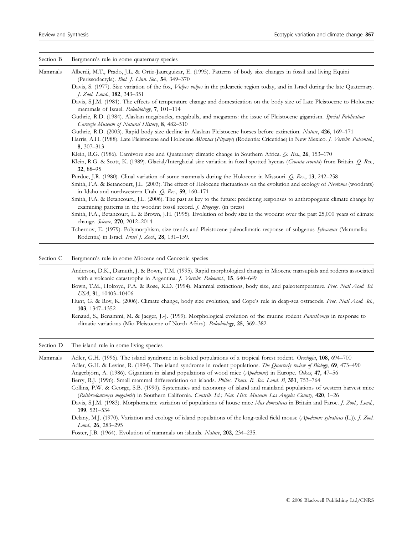| Section B | Bergmann's rule in some quaternary species                                                                                                                                                                                                                               |
|-----------|--------------------------------------------------------------------------------------------------------------------------------------------------------------------------------------------------------------------------------------------------------------------------|
| Mammals   | Alberdi, M.T., Prado, J.L. & Ortiz-Jaureguizar, E. (1995). Patterns of body size changes in fossil and living Equini<br>(Perissodactyla). Biol. J. Linn. Soc., 54, 349-370                                                                                               |
|           | Davis, S. (1977). Size variation of the fox, <i>Vulpes vulpes</i> in the palearctic region today, and in Israel during the late Quaternary.<br>J. Zool. Lond., 182, 343-351                                                                                              |
|           | Davis, S.J.M. (1981). The effects of temperature change and domestication on the body size of Late Pleistocene to Holocene<br>mammals of Israel. Paleobiology, 7, 101-114                                                                                                |
|           | Guthrie, R.D. (1984). Alaskan megabucks, megabulls, and megarams: the issue of Pleistocene gigantism. Special Publication<br>Carnegie Museum of Natural History, 8, 482-510                                                                                              |
|           | Guthrie, R.D. (2003). Rapid body size decline in Alaskan Pleistocene horses before extinction. Nature, 426, 169-171<br>Harris, A.H. (1988). Late Pleistocene and Holocene Microtus (Pitymys) (Rodentia: Cricetidae) in New Mexico. J. Vertebr. Paleontol.,<br>8, 307-313 |
|           | Klein, R.G. (1986). Carnivore size and Quaternary climatic change in Southern Africa. Q. Res., 26, 153-170                                                                                                                                                               |
|           | Klein, R.G. & Scott, K. (1989). Glacial/Interglacial size variation in fossil spotted hyenas (Crocuta crocuta) from Britain. Q. Res.,<br>32, 88-95                                                                                                                       |
|           | Purdue, J.R. (1980). Clinal variation of some mammals during the Holocene in Missouri. Q. Res., 13, 242-258                                                                                                                                                              |
|           | Smith, F.A. & Betancourt, J.L. (2003). The effect of Holocene fluctuations on the evolution and ecology of Neotoma (woodrats)<br>in Idaho and northwestern Utah. Q. Res., 59, 160-171                                                                                    |
|           | Smith, F.A. & Betancourt., J.L. (2006). The past as key to the future: predicting responses to anthropogenic climate change by<br>examining patterns in the woodrat fossil record. <i>J. Biogeogr.</i> (in press)                                                        |
|           | Smith, F.A., Betancourt, L. & Brown, J.H. (1995). Evolution of body size in the woodrat over the past 25,000 years of climate<br>change. Science, 270, 2012-2014                                                                                                         |
|           | Tchernov, E. (1979). Polymorphism, size trends and Pleistocene paleoclimatic response of subgenus Sylvaemus (Mammalia:<br>Rodentia) in Israel. Israel J. Zool., 28, 131-159.                                                                                             |
| Section C | Bergmann's rule in some Miocene and Cenozoic species                                                                                                                                                                                                                     |
|           |                                                                                                                                                                                                                                                                          |
|           | Anderson, D.K., Damuth, J. & Bown, T.M. (1995). Rapid morphological change in Miocene marsupials and rodents associated<br>with a volcanic catastrophe in Argentina. J. Vertebr. Paleontol., 15, 640-649                                                                 |
|           | Bown, T.M., Holroyd, P.A. & Rose, K.D. (1994). Mammal extinctions, body size, and paleotemperature. Proc. Natl Acad. Sci.<br>USA, 91, 10403-10406                                                                                                                        |

Hunt, G. & Roy, K. (2006). Climate change, body size evolution, and Cope's rule in deap-sea ostracods. Proc. Natl Acad. Sci., 103, 1347–1352

Renaud, S., Benammi, M. & Jaeger, J.-J. (1999). Morphological evolution of the murine rodent Paraethomys in response to climatic variations (Mio-Pleistocene of North Africa). Paleobiology, 25, 369–382.

Section D The island rule in some living species

Mammals Adler, G.H. (1996). The island syndrome in isolated populations of a tropical forest rodent. Oecologia, 108, 694-700 Adler, G.H. & Levins, R. (1994). The island syndrome in rodent populations. The Quarterly review of Biology, 69, 473–490 Angerbjörn, A. (1986). Gigantism in island populations of wood mice (Apodemus) in Europe. Oikos, 47, 47-56 Berry, R.J. (1996). Small mammal differentiation on islands. Philos. Trans. R. Soc. Lond. B, 351, 753–764 Collins, P.W. & George, S.B. (1990). Systematics and taxonomy of island and mainland populations of western harvest mice (Reithrodontomys megalotis) in Southern California. Contrib. Sci.; Nat. Hist. Museum Los Angeles County, 420, 1–26 Davis, S.J.M. (1983). Morphometric variation of populations of house mice Mus domesticus in Britain and Faroe. J. Zool., Lond., 199, 521–534 Delany, M.J. (1970). Variation and ecology of island populations of the long-tailed field mouse (Apodemus sylvaticus (L.)). J. Zool. Lond., 26, 283–295

Foster, J.B. (1964). Evolution of mammals on islands. Nature, 202, 234–235.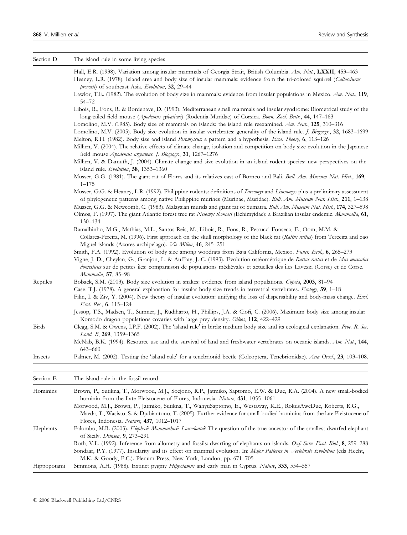| Section D   | The island rule in some living species                                                                                                                                                                                                                                                                                           |
|-------------|----------------------------------------------------------------------------------------------------------------------------------------------------------------------------------------------------------------------------------------------------------------------------------------------------------------------------------|
|             | Hall, E.R. (1938). Variation among insular mammals of Georgia Strait, British Columbia. Am. Nat., LXXII, 453-463                                                                                                                                                                                                                 |
|             | Heaney, L.R. (1978). Island area and body size of insular mammals: evidence from the tri-colored squirrel (Callosciurus<br>prevosti) of southeast Asia. Evolution, 32, 29-44                                                                                                                                                     |
|             | Lawlor, T.E. (1982). The evolution of body size in mammals: evidence from insular populations in Mexico. Am. Nat., 119,<br>54—72                                                                                                                                                                                                 |
|             | Libois, R., Fons, R. & Bordenave, D. (1993). Mediterranean small mammals and insular syndrome: Biometrical study of the<br>long-tailed field mouse (Apodemus sylvaticus) (Rodentia-Muridae) of Corsica. Bonn. Zool. Beitr., 44, 147-163                                                                                          |
|             | Lomolino, M.V. (1985). Body size of mammals on islands: the island rule reexamined. Am. Nat., 125, 310–316                                                                                                                                                                                                                       |
|             | Lomolino, M.V. (2005). Body size evolution in insular vertebrates: generality of the island rule. <i>J. Biogeogr.</i> , 32, 1683-1699<br>Melton, R.H. (1982). Body size and island Peromyscus: a pattern and a hypothesis. Evol. Theory, 6, 113-126                                                                              |
|             | Millien, V. (2004). The relative effects of climate change, isolation and competition on body size evolution in the Japanese<br>field mouse Apodemus argenteus. J. Biogeogr., 31, 1267-1276                                                                                                                                      |
|             | Millien, V. & Damuth, J. (2004). Climate change and size evolution in an island rodent species: new perspectives on the<br>island rule. Evolution, 58, 1353-1360                                                                                                                                                                 |
|             | Musser, G.G. (1981). The giant rat of Flores and its relatives east of Borneo and Bali. Bull. Am. Museum Nat. Hist., 169,<br>$1 - 175$                                                                                                                                                                                           |
|             | Musser, G.G. & Heaney, L.R. (1992). Philippine rodents: definitions of Tarsomys and Limnomys plus a preliminary assessment<br>of phylogenetic patterns among native Philippine murines (Murinae, Muridae). Bull. Am. Museum Nat. Hist., 211, 1-138                                                                               |
|             | Musser, G.G. & Newcomb, C. (1983). Malaysian murids and giant rat of Sumatra. Bull. Am. Museum Nat. Hist., 174, 327-598<br>Olmos, F. (1997). The giant Atlantic forest tree rat Nelomys thomasi (Echimyidae): a Brazilian insular endemic. Mammalia, 61,<br>130-134                                                              |
|             | Ramalhinho, M.G., Mathias, M.L., Santos-Reis, M., Libois, R., Fons, R., Petrucci-Fonseca, F., Oom, M.M. &<br>Collares-Pereira, M. (1996). First approach on the skull morphology of the black rat (Rattus rattus) from Terceira and Sao<br>Miguel islands (Azores archipelago). Vie Milieu, 46, 245-251                          |
|             | Smith, F.A. (1992). Evolution of body size among woodrats from Baja California, Mexico. Funct. Ecol., 6, 265-273                                                                                                                                                                                                                 |
|             | Vigne, J.-D., Cheylan, G., Granjon, L. & Auffray, J.-C. (1993). Evolution ostéométrique de Rattus rattus et de Mus musculus<br>domesticus sur de petites îles: comparaison de populations médiévales et actuelles des îles Lavezzi (Corse) et de Corse.<br>Mammalia, 57, 85-98                                                   |
| Reptiles    | Boback, S.M. (2003). Body size evolution in snakes: evidence from island populations. Copeia, 2003, 81-94                                                                                                                                                                                                                        |
|             | Case, T.J. (1978). A general explanation for insular body size trends in terrestrial vertebrates. Ecology, 59, 1-18                                                                                                                                                                                                              |
|             | Filin, I. & Ziv, Y. (2004). New theory of insular evolution: unifying the loss of dispersability and body-mass change. Evol.<br>Ecol. Res., 6, 115-124                                                                                                                                                                           |
|             | Jessop, T.S., Madsen, T., Sumner, J., Rudiharto, H., Phillips, J.A. & Ciofi, C. (2006). Maximum body size among insular<br>Komodo dragon populations covaries with large prey density. Oikos, 112, 422-429                                                                                                                       |
| Birds       | Clegg, S.M. & Owens, I.P.F. (2002). The 'island rule' in birds: medium body size and its ecological explanation. Proc. R. Soc.<br>Lond. B, 269, 1359-1365                                                                                                                                                                        |
|             | McNab, B.K. (1994). Resource use and the survival of land and freshwater vertebrates on oceanic islands. Am. Nat., 144,<br>643-660                                                                                                                                                                                               |
| Insects     | Palmer, M. (2002). Testing the 'island rule' for a tenebrionid beetle (Coleoptera, Tenebrionidae). Acta Oecol., 23, 103-108.                                                                                                                                                                                                     |
|             |                                                                                                                                                                                                                                                                                                                                  |
| Section E   | The island rule in the fossil record                                                                                                                                                                                                                                                                                             |
| Hominins    | Brown, P., Sutikna, T., Morwood, M.J., Soejono, R.P., Jatmiko, Saptomo, E.W. & Due, R.A. (2004). A new small-bodied<br>hominin from the Late Pleistocene of Flores, Indonesia. Nature, 431, 1055–1061                                                                                                                            |
|             | Morwood, M.J., Brown, P., Jatmiko, Sutikna, T., WahyuSaptomo, E., Westaway, K.E., RokusAweDue, Roberts, R.G.,<br>Maeda, T., Wasisto, S. & Djubiantono, T. (2005). Further evidence for small-bodied hominins from the late Pleistocene of<br>Flores, Indonesia. Nature, 437, 1012-1017                                           |
| Elephants   | Palombo, M.R. (2003). Elephas? Mammuthus? Loxodonta? The question of the true ancestor of the smallest dwarfed elephant<br>of Sicily. <i>Deinsea</i> , 9, 273-291                                                                                                                                                                |
|             | Roth, V.L. (1992). Inference from allometry and fossils: dwarfing of elephants on islands. Oxf. Surv. Evol. Biol., 8, 259–288<br>Sondaar, P.Y. (1977). Insularity and its effect on mammal evolution. In: Major Patterns in Vertebrate Evolution (eds Hecht,<br>M.K. & Goody, P.C.). Plenum Press, New York, London, pp. 671–705 |
| Hippopotami | Simmons, A.H. (1988). Extinct pygmy <i>Hippotamus</i> and early man in Cyprus. Nature, 333, 554–557                                                                                                                                                                                                                              |